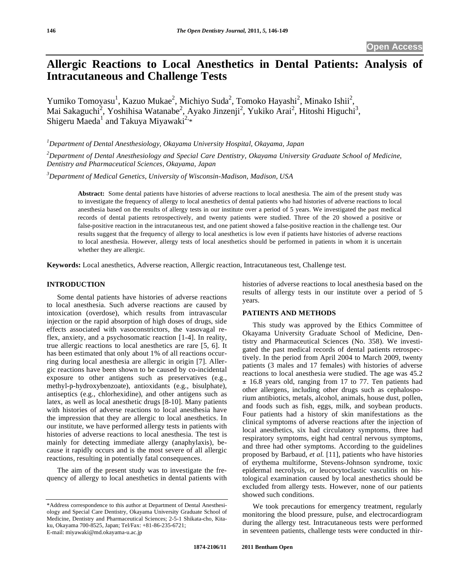# **Allergic Reactions to Local Anesthetics in Dental Patients: Analysis of Intracutaneous and Challenge Tests**

Yumiko Tomoyasu<sup>1</sup>, Kazuo Mukae<sup>2</sup>, Michiyo Suda<sup>2</sup>, Tomoko Hayashi<sup>2</sup>, Minako Ishii<sup>2</sup>, Mai Sakaguchi<sup>2</sup>, Yoshihisa Watanabe<sup>2</sup>, Ayako Jinzenji<sup>2</sup>, Yukiko Arai<sup>2</sup>, Hitoshi Higuchi<sup>3</sup>, Shigeru Maeda<sup>1</sup> and Takuya Miyawaki<sup>2,\*</sup>

*1 Department of Dental Anesthesiology, Okayama University Hospital, Okayama, Japan* 

*2 Department of Dental Anesthesiology and Special Care Dentistry, Okayama University Graduate School of Medicine, Dentistry and Pharmaceutical Sciences, Okayama, Japan* 

*3 Department of Medical Genetics, University of Wisconsin-Madison, Madison, USA* 

**Abstract:** Some dental patients have histories of adverse reactions to local anesthesia. The aim of the present study was to investigate the frequency of allergy to local anesthetics of dental patients who had histories of adverse reactions to local anesthesia based on the results of allergy tests in our institute over a period of 5 years. We investigated the past medical records of dental patients retrospectively, and twenty patients were studied. Three of the 20 showed a positive or false-positive reaction in the intracutaneous test, and one patient showed a false-positive reaction in the challenge test. Our results suggest that the frequency of allergy to local anesthetics is low even if patients have histories of adverse reactions to local anesthesia. However, allergy tests of local anesthetics should be performed in patients in whom it is uncertain whether they are allergic.

**Keywords:** Local anesthetics, Adverse reaction, Allergic reaction, Intracutaneous test, Challenge test.

# **INTRODUCTION**

Some dental patients have histories of adverse reactions to local anesthesia. Such adverse reactions are caused by intoxication (overdose), which results from intravascular injection or the rapid absorption of high doses of drugs, side effects associated with vasoconstrictors, the vasovagal reflex, anxiety, and a psychosomatic reaction [1-4]. In reality, true allergic reactions to local anesthetics are rare [5, 6]. It has been estimated that only about 1% of all reactions occurring during local anesthesia are allergic in origin [7]. Allergic reactions have been shown to be caused by co-incidental exposure to other antigens such as preservatives (e.g., methyl-p-hydroxybenzoate), antioxidants (e.g., bisulphate), antiseptics (e.g., chlorhexidine), and other antigens such as latex, as well as local anesthetic drugs [8-10]. Many patients with histories of adverse reactions to local anesthesia have the impression that they are allergic to local anesthetics. In our institute, we have performed allergy tests in patients with histories of adverse reactions to local anesthesia. The test is mainly for detecting immediate allergy (anaphylaxis), because it rapidly occurs and is the most severe of all allergic reactions, resulting in potentially fatal consequences.

The aim of the present study was to investigate the frequency of allergy to local anesthetics in dental patients with histories of adverse reactions to local anesthesia based on the results of allergy tests in our institute over a period of 5 years.

# **PATIENTS AND METHODS**

This study was approved by the Ethics Committee of Okayama University Graduate School of Medicine, Dentistry and Pharmaceutical Sciences (No. 358). We investigated the past medical records of dental patients retrospectively. In the period from April 2004 to March 2009, twenty patients (3 males and 17 females) with histories of adverse reactions to local anesthesia were studied. The age was 45.2 ± 16.8 years old, ranging from 17 to 77. Ten patients had other allergens, including other drugs such as cephalosporium antibiotics, metals, alcohol, animals, house dust, pollen, and foods such as fish, eggs, milk, and soybean products. Four patients had a history of skin manifestations as the clinical symptoms of adverse reactions after the injection of local anesthetics, six had circulatory symptoms, three had respiratory symptoms, eight had central nervous symptoms, and three had other symptoms. According to the guidelines proposed by Barbaud, *et al.* [11], patients who have histories of erythema multiforme, Stevens-Johnson syndrome, toxic epidermal necrolysis, or leucocytoclastic vasculitis on histological examination caused by local anesthetics should be excluded from allergy tests. However, none of our patients showed such conditions.

We took precautions for emergency treatment, regularly monitoring the blood pressure, pulse, and electrocardiogram during the allergy test. Intracutaneous tests were performed in seventeen patients, challenge tests were conducted in thir-

<sup>\*</sup>Address correspondence to this author at Department of Dental Anesthesiology and Special Care Dentistry, Okayama University Graduate School of Medicine, Dentistry and Pharmaceutical Sciences; 2-5-1 Shikata-cho, Kitaku, Okayama 700-8525, Japan; Tel/Fax: +81-86-235-6721; E-mail: miyawaki@md.okayama-u.ac.jp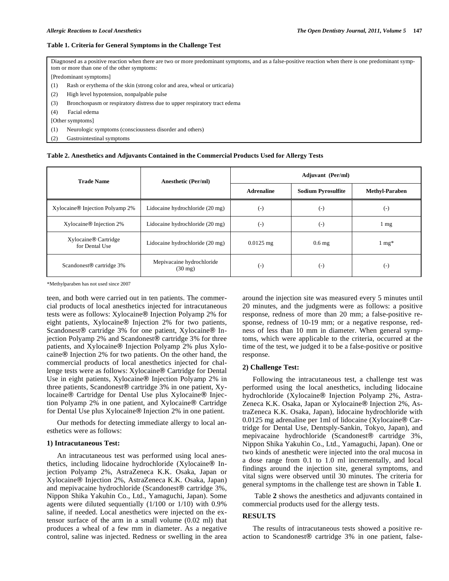# **Table 1. Criteria for General Symptoms in the Challenge Test**

| Diagnosed as a positive reaction when there are two or more predominant symptoms, and as a false-positive reaction when there is one predominant symp-<br>tom or more than one of the other symptoms: |
|-------------------------------------------------------------------------------------------------------------------------------------------------------------------------------------------------------|
| [Predominant symptoms]                                                                                                                                                                                |
| Rash or erythema of the skin (strong color and area, wheal or urticaria)<br>(1)                                                                                                                       |
| High level hypotension, nonpalpable pulse<br>(2)                                                                                                                                                      |
| Bronchospasm or respiratory distress due to upper respiratory tract edema<br>(3)                                                                                                                      |
| Facial edema<br>(4)                                                                                                                                                                                   |
| [Other symptoms]                                                                                                                                                                                      |
| Neurologic symptoms (consciousness disorder and others)<br>(1)                                                                                                                                        |
| (2)<br>Gastrointestinal symptoms                                                                                                                                                                      |
|                                                                                                                                                                                                       |

**Table 2. Anesthetics and Adjuvants Contained in the Commercial Products Used for Allergy Tests** 

| <b>Trade Name</b>                      | <b>Anesthetic (Per/ml)</b>                     | <b>Adjuvant</b> (Per/ml) |                           |                       |
|----------------------------------------|------------------------------------------------|--------------------------|---------------------------|-----------------------|
|                                        |                                                | <b>Adrenaline</b>        | <b>Sodium Pyrosulfite</b> | <b>Methyl-Paraben</b> |
| Xylocaine® Injection Polyamp 2%        | Lidocaine hydrochloride (20 mg)                | $(\textnormal{-})$       | $\left( -\right)$         | (-)                   |
| Xylocaine <sup>®</sup> Injection 2%    | Lidocaine hydrochloride (20 mg)                | $\left( -\right)$        | $(-)$                     | 1 mg                  |
| Xylocaine® Cartridge<br>for Dental Use | Lidocaine hydrochloride (20 mg)                | $0.0125$ mg              | $0.6$ mg                  | $1 \text{ mg}^*$      |
| Scandonest <sup>®</sup> cartridge 3%   | Mepivacaine hydrochloride<br>$(30 \text{ mg})$ | $(\textnormal{-})$       | $\left( -\right)$         | (-)                   |

\*Methylparaben has not used since 2007

teen, and both were carried out in ten patients. The commercial products of local anesthetics injected for intracutaneous tests were as follows: Xylocaine® Injection Polyamp 2% for eight patients, Xylocaine® Injection 2% for two patients, Scandonest® cartridge 3% for one patient, Xylocaine® Injection Polyamp 2% and Scandonest<sup>®</sup> cartridge 3% for three patients, and Xylocaine® Injection Polyamp 2% plus Xylocaine® Injection 2% for two patients. On the other hand, the commercial products of local anesthetics injected for challenge tests were as follows: Xylocaine® Cartridge for Dental Use in eight patients, Xylocaine® Injection Polyamp 2% in three patients, Scandonest<sup>®</sup> cartridge  $3\%$  in one patient, Xylocaine® Cartridge for Dental Use plus Xylocaine® Injection Polyamp 2% in one patient, and Xylocaine® Cartridge for Dental Use plus Xylocaine® Injection 2% in one patient.

Our methods for detecting immediate allergy to local anesthetics were as follows:

# **1) Intracutaneous Test:**

An intracutaneous test was performed using local anesthetics, including lidocaine hydrochloride (Xylocaine® Injection Polyamp 2%, AstraZeneca K.K. Osaka, Japan or Xylocaine® Injection 2%, AstraZeneca K.K. Osaka, Japan) and mepivacaine hydrochloride (Scandonest® cartridge 3%, Nippon Shika Yakuhin Co., Ltd., Yamaguchi, Japan). Some agents were diluted sequentially (1/100 or 1/10) with 0.9% saline, if needed. Local anesthetics were injected on the extensor surface of the arm in a small volume (0.02 ml) that produces a wheal of a few mm in diameter. As a negative control, saline was injected. Redness or swelling in the area around the injection site was measured every 5 minutes until 20 minutes, and the judgments were as follows: a positive response, redness of more than 20 mm; a false-positive response, redness of 10-19 mm; or a negative response, redness of less than 10 mm in diameter. When general symptoms, which were applicable to the criteria, occurred at the time of the test, we judged it to be a false-positive or positive response.

# **2) Challenge Test:**

Following the intracutaneous test, a challenge test was performed using the local anesthetics, including lidocaine hydrochloride (Xylocaine® Injection Polyamp 2%, Astra-Zeneca K.K. Osaka, Japan or Xylocaine® Injection 2%, AstraZeneca K.K. Osaka, Japan), lidocaine hydrochloride with  $0.0125$  mg adrenaline per 1ml of lidocaine (Xylocaine ® Cartridge for Dental Use, Dentsply-Sankin, Tokyo, Japan), and mepivacaine hydrochloride (Scandonest<sup>®</sup> cartridge 3%, Nippon Shika Yakuhin Co., Ltd., Yamaguchi, Japan). One or two kinds of anesthetic were injected into the oral mucosa in a dose range from 0.1 to 1.0 ml incrementally, and local findings around the injection site, general symptoms, and vital signs were observed until 30 minutes. The criteria for general symptoms in the challenge test are shown in Table **1**.

 Table **2** shows the anesthetics and adjuvants contained in commercial products used for the allergy tests.

# **RESULTS**

The results of intracutaneous tests showed a positive reaction to Scandonest<sup>®</sup> cartridge 3% in one patient, false-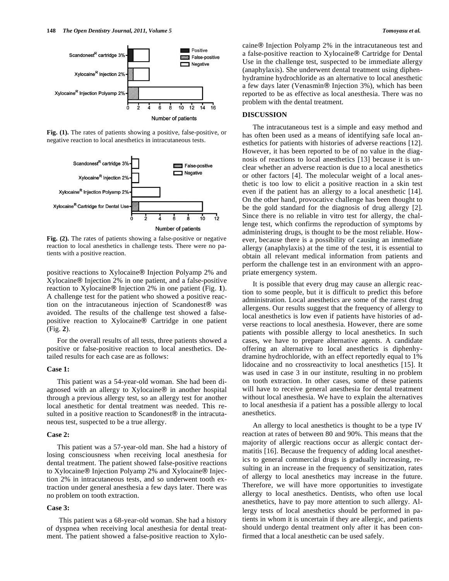

**Fig. (1).** The rates of patients showing a positive, false-positive, or negative reaction to local anesthetics in intracutaneous tests.



Fig. (2). The rates of patients showing a false-positive or negative reaction to local anesthetics in challenge tests. There were no patients with a positive reaction.

positive reactions to Xylocaine<sup>®</sup> Injection Polyamp 2% and  $Xy$ locaine $\otimes$  Injection 2% in one patient, and a false-positive reaction to Xylocaine<sup>®</sup> Injection 2% in one patient (Fig. 1). A challenge test for the patient who showed a positive reaction on the intracutaneous injection of Scandonest<sup>®</sup> was avoided. The results of the challenge test showed a falsepositive reaction to Xylocaine<sup>®</sup> Cartridge in one patient (Fig. **2**).

For the overall results of all tests, three patients showed a positive or false-positive reaction to local anesthetics. Detailed results for each case are as follows:

### **Case 1:**

This patient was a 54-year-old woman. She had been diagnosed with an allergy to Xylocaine $@$  in another hospital through a previous allergy test, so an allergy test for another local anesthetic for dental treatment was needed. This resulted in a positive reaction to Scandonest<sup>®</sup> in the intracutaneous test, suspected to be a true allergy.

# **Case 2:**

This patient was a 57-year-old man. She had a history of losing consciousness when receiving local anesthesia for dental treatment. The patient showed false-positive reactions to Xylocaine® Injection Polyamp 2% and Xylocaine® Injection 2% in intracutaneous tests, and so underwent tooth extraction under general anesthesia a few days later. There was no problem on tooth extraction.

# **Case 3:**

 This patient was a 68-year-old woman. She had a history of dyspnea when receiving local anesthesia for dental treatment. The patient showed a false-positive reaction to Xylocaine ® Injection Polyamp 2% in the intracutaneous test and a false-positive reaction to Xylocaine<sup>®</sup> Cartridge for Dental Use in the challenge test, suspected to be immediate allergy (anaphylaxis). She underwent dental treatment using diphenhydramine hydrochloride as an alternative to local anesthetic a few days later (Venasmin $\circledast$  Injection 3%), which has been reported to be as effective as local anesthesia. There was no problem with the dental treatment.

# **DISCUSSION**

The intracutaneous test is a simple and easy method and has often been used as a means of identifying safe local anesthetics for patients with histories of adverse reactions [12]. However, it has been reported to be of no value in the diagnosis of reactions to local anesthetics [13] because it is unclear whether an adverse reaction is due to a local anesthetics or other factors [4]. The molecular weight of a local anesthetic is too low to elicit a positive reaction in a skin test even if the patient has an allergy to a local anesthetic [14]. On the other hand, provocative challenge has been thought to be the gold standard for the diagnosis of drug allergy [2]. Since there is no reliable in vitro test for allergy, the challenge test, which confirms the reproduction of symptoms by administering drugs, is thought to be the most reliable. However, because there is a possibility of causing an immediate allergy (anaphylaxis) at the time of the test, it is essential to obtain all relevant medical information from patients and perform the challenge test in an environment with an appropriate emergency system.

It is possible that every drug may cause an allergic reaction to some people, but it is difficult to predict this before administration. Local anesthetics are some of the rarest drug allergens. Our results suggest that the frequency of allergy to local anesthetics is low even if patients have histories of adverse reactions to local anesthesia. However, there are some patients with possible allergy to local anesthetics. In such cases, we have to prepare alternative agents. A candidate offering an alternative to local anesthetics is diphenhydramine hydrochloride, with an effect reportedly equal to 1% lidocaine and no crossreactivity to local anesthetics [15]. It was used in case 3 in our institute, resulting in no problem on tooth extraction. In other cases, some of these patients will have to receive general anesthesia for dental treatment without local anesthesia. We have to explain the alternatives to local anesthesia if a patient has a possible allergy to local anesthetics.

An allergy to local anesthetics is thought to be a type IV reaction at rates of between 80 and 90%. This means that the majority of allergic reactions occur as allergic contact dermatitis [16]. Because the frequency of adding local anesthetics to general commercial drugs is gradually increasing, resulting in an increase in the frequency of sensitization, rates of allergy to local anesthetics may increase in the future. Therefore, we will have more opportunities to investigate allergy to local anesthetics. Dentists, who often use local anesthetics, have to pay more attention to such allergy. Allergy tests of local anesthetics should be performed in patients in whom it is uncertain if they are allergic, and patients should undergo dental treatment only after it has been confirmed that a local anesthetic can be used safely.